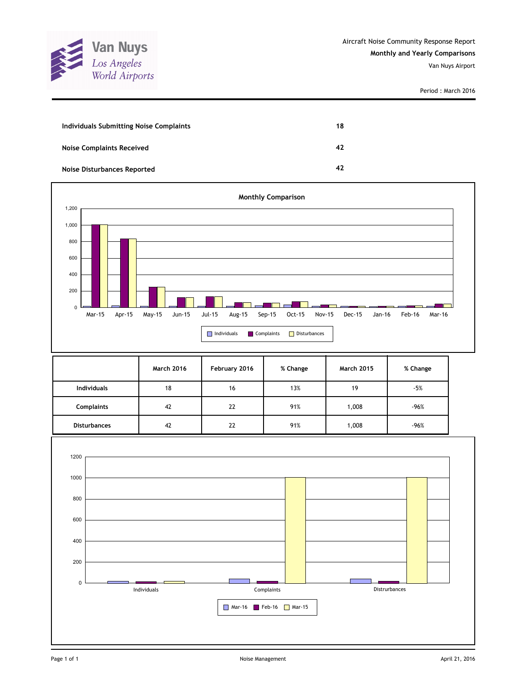

| Individuals Submitting Noise Complaints | 18 |
|-----------------------------------------|----|
| <b>Noise Complaints Received</b>        | 42 |
| Noise Disturbances Reported             | 42 |



|                     | <b>March 2016</b> | February 2016 | % Change | <b>March 2015</b> | % Change |
|---------------------|-------------------|---------------|----------|-------------------|----------|
| <b>Individuals</b>  | 18                | 16            | 13%      | 19                | $-5%$    |
| <b>Complaints</b>   | 42                | 22            | 91%      | 1,008             | $-96%$   |
| <b>Disturbances</b> | 42                | 22            | 91%      | 1,008             | $-96%$   |

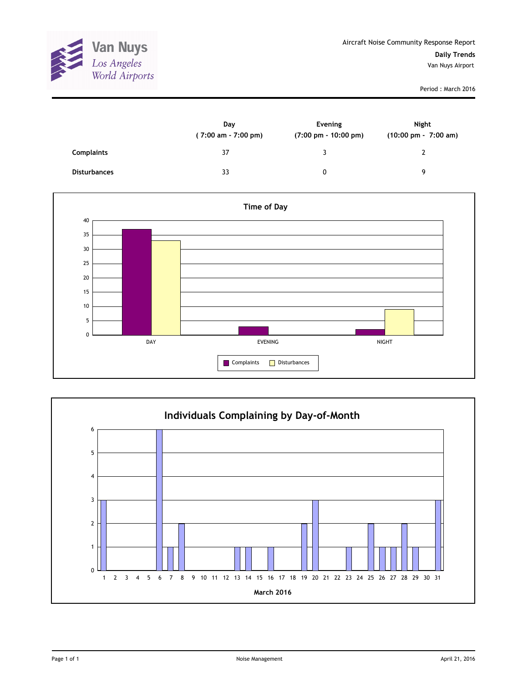

|                     | Day<br>(7:00 am - 7:00 pm) | Evening<br>$(7:00 \text{ pm} - 10:00 \text{ pm})$ | <b>Night</b><br>$(10:00 \text{ pm} - 7:00 \text{ am})$ |
|---------------------|----------------------------|---------------------------------------------------|--------------------------------------------------------|
| <b>Complaints</b>   | 37                         | ર                                                 |                                                        |
| <b>Disturbances</b> | 33                         | 0                                                 | Q                                                      |



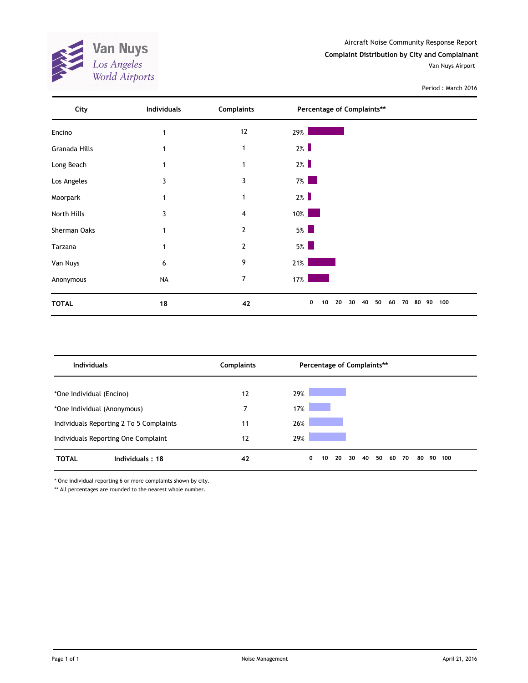

Aircraft Noise Community Response Report **Complaint Distribution by City and Complainant** Van Nuys Airport

## Period : March 2016

| City          | <b>Individuals</b> | <b>Complaints</b> | Percentage of Complaints**                        |           |
|---------------|--------------------|-------------------|---------------------------------------------------|-----------|
| Encino        |                    | $12$              | 29%                                               |           |
| Granada Hills |                    | $\mathbf{1}$      | 2%                                                |           |
| Long Beach    |                    | 1                 | $2\%$                                             |           |
| Los Angeles   | 3                  | 3                 | $7\%$                                             |           |
| Moorpark      |                    | 1                 | $2\%$                                             |           |
| North Hills   | 3                  | 4                 | $10\%$<br><b>Service Service</b>                  |           |
| Sherman Oaks  |                    | $\overline{2}$    | $5\%$                                             |           |
| Tarzana       |                    | 2                 | $5\%$                                             |           |
| Van Nuys      | 6                  | 9                 | $21\%$                                            |           |
| Anonymous     | <b>NA</b>          | $\overline{7}$    | 17%                                               |           |
| <b>TOTAL</b>  | 18                 | 42                | 50<br>0<br>20<br>30<br>40<br>80<br>10<br>60<br>70 | 100<br>90 |

| <b>Individuals</b>                      | <b>Complaints</b> | Percentage of Complaints**                        |           |
|-----------------------------------------|-------------------|---------------------------------------------------|-----------|
| *One Individual (Encino)                | 12                | 29%                                               |           |
| *One Individual (Anonymous)             | 7                 | 17%                                               |           |
| Individuals Reporting 2 To 5 Complaints | 11                | 26%                                               |           |
| Individuals Reporting One Complaint     | 12                | 29%                                               |           |
| <b>TOTAL</b><br>Individuals: 18         | 42                | 50<br>0<br>20<br>40<br>30<br>60<br>70<br>80<br>10 | 90<br>100 |

\* One individual reporting 6 or more complaints shown by city.

\*\* All percentages are rounded to the nearest whole number.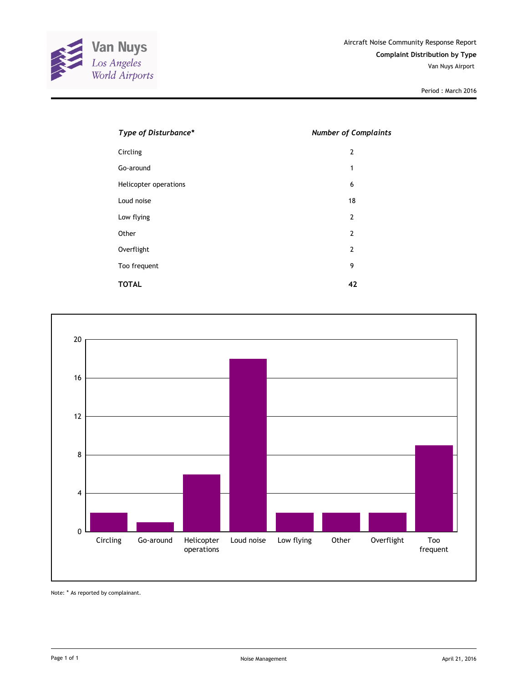

| Type of Disturbance*  | <b>Number of Complaints</b> |
|-----------------------|-----------------------------|
| Circling              | 2                           |
| Go-around             | 1                           |
| Helicopter operations | 6                           |
| Loud noise            | 18                          |
| Low flying            | 2                           |
| Other                 | $\overline{2}$              |
| Overflight            | 2                           |
| Too frequent          | 9                           |
| <b>TOTAL</b>          | 42                          |



Note: \* As reported by complainant.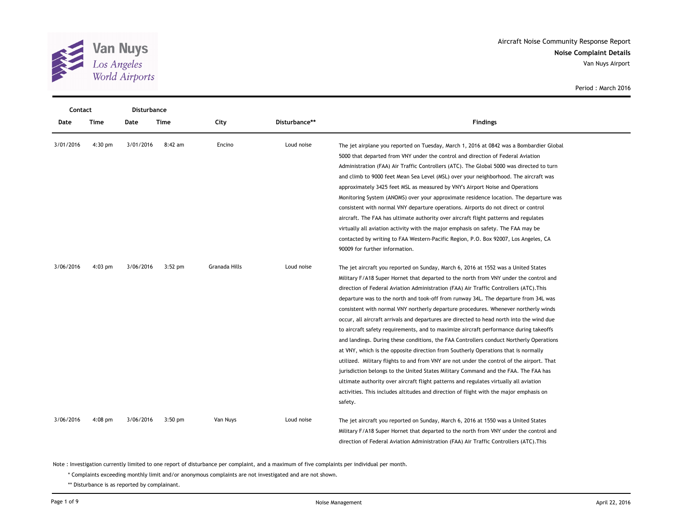

| Contact   |             | <b>Disturbance</b> |             |                      |               |                                                                                                                                                                                                                                                                                                                                                                                                                                                                                                                                                                                                                                                                                                                                                                                                                                                                                                                                                                                                                                                                                                                                                                                                             |
|-----------|-------------|--------------------|-------------|----------------------|---------------|-------------------------------------------------------------------------------------------------------------------------------------------------------------------------------------------------------------------------------------------------------------------------------------------------------------------------------------------------------------------------------------------------------------------------------------------------------------------------------------------------------------------------------------------------------------------------------------------------------------------------------------------------------------------------------------------------------------------------------------------------------------------------------------------------------------------------------------------------------------------------------------------------------------------------------------------------------------------------------------------------------------------------------------------------------------------------------------------------------------------------------------------------------------------------------------------------------------|
| Date      | <b>Time</b> | Date               | <b>Time</b> | City                 | Disturbance** | <b>Findings</b>                                                                                                                                                                                                                                                                                                                                                                                                                                                                                                                                                                                                                                                                                                                                                                                                                                                                                                                                                                                                                                                                                                                                                                                             |
| 3/01/2016 | $4:30$ pm   | 3/01/2016          | 8:42 am     | Encino               | Loud noise    | The jet airplane you reported on Tuesday, March 1, 2016 at 0842 was a Bombardier Global<br>5000 that departed from VNY under the control and direction of Federal Aviation<br>Administration (FAA) Air Traffic Controllers (ATC). The Global 5000 was directed to turn<br>and climb to 9000 feet Mean Sea Level (MSL) over your neighborhood. The aircraft was<br>approximately 3425 feet MSL as measured by VNY's Airport Noise and Operations<br>Monitoring System (ANOMS) over your approximate residence location. The departure was<br>consistent with normal VNY departure operations. Airports do not direct or control<br>aircraft. The FAA has ultimate authority over aircraft flight patterns and regulates<br>virtually all aviation activity with the major emphasis on safety. The FAA may be<br>contacted by writing to FAA Western-Pacific Region, P.O. Box 92007, Los Angeles, CA<br>90009 for further information.                                                                                                                                                                                                                                                                        |
| 3/06/2016 | $4:03$ pm   | 3/06/2016          | $3:52$ pm   | <b>Granada Hills</b> | Loud noise    | The jet aircraft you reported on Sunday, March 6, 2016 at 1552 was a United States<br>Military F/A18 Super Hornet that departed to the north from VNY under the control and<br>direction of Federal Aviation Administration (FAA) Air Traffic Controllers (ATC). This<br>departure was to the north and took-off from runway 34L. The departure from 34L was<br>consistent with normal VNY northerly departure procedures. Whenever northerly winds<br>occur, all aircraft arrivals and departures are directed to head north into the wind due<br>to aircraft safety requirements, and to maximize aircraft performance during takeoffs<br>and landings. During these conditions, the FAA Controllers conduct Northerly Operations<br>at VNY, which is the opposite direction from Southerly Operations that is normally<br>utilized. Military flights to and from VNY are not under the control of the airport. That<br>jurisdiction belongs to the United States Military Command and the FAA. The FAA has<br>ultimate authority over aircraft flight patterns and regulates virtually all aviation<br>activities. This includes altitudes and direction of flight with the major emphasis on<br>safety. |
| 3/06/2016 | $4:08$ pm   | 3/06/2016          | $3:50$ pm   | Van Nuys             | Loud noise    | The jet aircraft you reported on Sunday, March 6, 2016 at 1550 was a United States<br>Military F/A18 Super Hornet that departed to the north from VNY under the control and<br>direction of Federal Aviation Administration (FAA) Air Traffic Controllers (ATC). This                                                                                                                                                                                                                                                                                                                                                                                                                                                                                                                                                                                                                                                                                                                                                                                                                                                                                                                                       |

Note : Investigation currently limited to one report of disturbance per complaint, and a maximum of five complaints per individual per month.

\* Complaints exceeding monthly limit and/or anonymous complaints are not investigated and are not shown.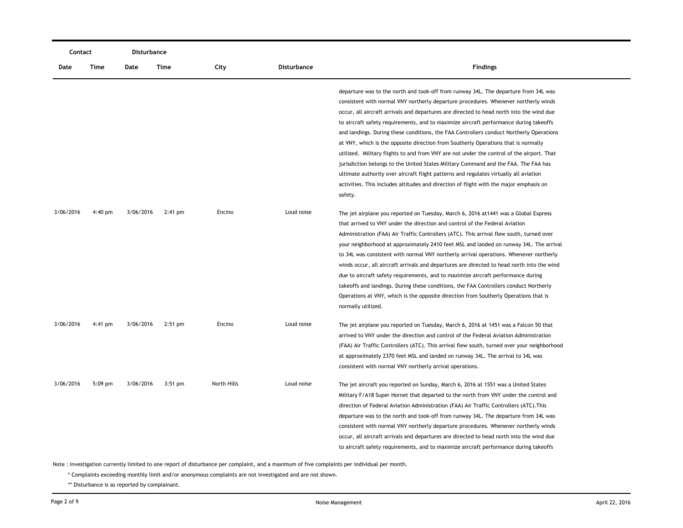| Contact   |           | Disturbance |           |             |             |                                                                                                                                                                                                                                                                                                                                                                                                                                                                                                                                                                                                                                                                                                                                                                                                                                                                                                                                    |
|-----------|-----------|-------------|-----------|-------------|-------------|------------------------------------------------------------------------------------------------------------------------------------------------------------------------------------------------------------------------------------------------------------------------------------------------------------------------------------------------------------------------------------------------------------------------------------------------------------------------------------------------------------------------------------------------------------------------------------------------------------------------------------------------------------------------------------------------------------------------------------------------------------------------------------------------------------------------------------------------------------------------------------------------------------------------------------|
| Date      | Time      | Date        | Time      | City        | Disturbance | <b>Findings</b>                                                                                                                                                                                                                                                                                                                                                                                                                                                                                                                                                                                                                                                                                                                                                                                                                                                                                                                    |
|           |           |             |           |             |             | departure was to the north and took-off from runway 34L. The departure from 34L was<br>consistent with normal VNY northerly departure procedures. Whenever northerly winds<br>occur, all aircraft arrivals and departures are directed to head north into the wind due<br>to aircraft safety requirements, and to maximize aircraft performance during takeoffs<br>and landings. During these conditions, the FAA Controllers conduct Northerly Operations<br>at VNY, which is the opposite direction from Southerly Operations that is normally<br>utilized. Military flights to and from VNY are not under the control of the airport. That<br>jurisdiction belongs to the United States Military Command and the FAA. The FAA has<br>ultimate authority over aircraft flight patterns and regulates virtually all aviation<br>activities. This includes altitudes and direction of flight with the major emphasis on<br>safety. |
| 3/06/2016 | $4:40$ pm | 3/06/2016   | $2:41$ pm | Encino      | Loud noise  | The jet airplane you reported on Tuesday, March 6, 2016 at 1441 was a Global Express<br>that arrived to VNY under the direction and control of the Federal Aviation<br>Administration (FAA) Air Traffic Controllers (ATC). This arrival flew south, turned over<br>your neighborhood at approximately 2410 feet MSL and landed on runway 34L. The arrival<br>to 34L was consistent with normal VNY northerly arrival operations. Whenever northerly<br>winds occur, all aircraft arrivals and departures are directed to head north into the wind<br>due to aircraft safety requirements, and to maximize aircraft performance during<br>takeoffs and landings. During these conditions, the FAA Controllers conduct Northerly<br>Operations at VNY, which is the opposite direction from Southerly Operations that is<br>normally utilized.                                                                                       |
| 3/06/2016 | 4:41 pm   | 3/06/2016   | $2:51$ pm | Encino      | Loud noise  | The jet airplane you reported on Tuesday, March 6, 2016 at 1451 was a Falcon 50 that<br>arrived to VNY under the direction and control of the Federal Aviation Administration<br>(FAA) Air Traffic Controllers (ATC). This arrival flew south, turned over your neighborhood<br>at approximately 2370 feet MSL and landed on runway 34L. The arrival to 34L was<br>consistent with normal VNY northerly arrival operations.                                                                                                                                                                                                                                                                                                                                                                                                                                                                                                        |
| 3/06/2016 | $5:09$ pm | 3/06/2016   | $3:51$ pm | North Hills | Loud noise  | The jet aircraft you reported on Sunday, March 6, 2016 at 1551 was a United States<br>Military F/A18 Super Hornet that departed to the north from VNY under the control and<br>direction of Federal Aviation Administration (FAA) Air Traffic Controllers (ATC). This<br>departure was to the north and took-off from runway 34L. The departure from 34L was<br>consistent with normal VNY northerly departure procedures. Whenever northerly winds<br>occur, all aircraft arrivals and departures are directed to head north into the wind due<br>to aircraft safety requirements, and to maximize aircraft performance during takeoffs                                                                                                                                                                                                                                                                                           |

\* Complaints exceeding monthly limit and/or anonymous complaints are not investigated and are not shown.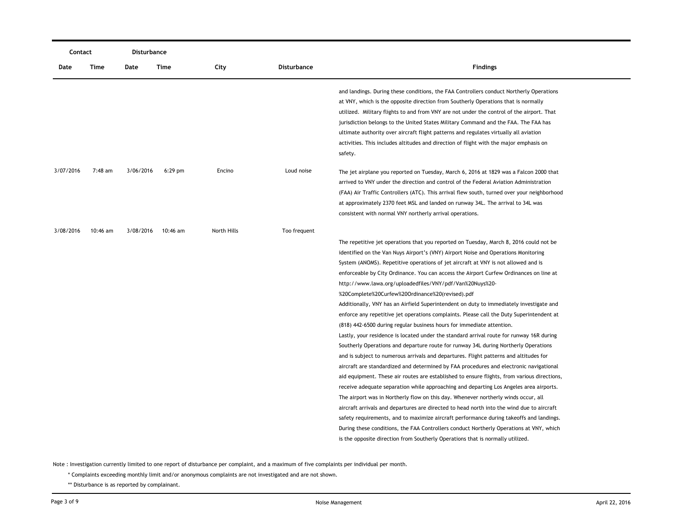| Contact   |          | Disturbance |           |             |              |                                                                                                                                                                                                                                                                                                                                                                                                                                                                                                                                                                                                                                                                                                                                                                                                                                                                                                                                                                                                                                                                                                                                                                                                                                                                                                                                                                                                                                                                                                                                                                                                                                                                                      |
|-----------|----------|-------------|-----------|-------------|--------------|--------------------------------------------------------------------------------------------------------------------------------------------------------------------------------------------------------------------------------------------------------------------------------------------------------------------------------------------------------------------------------------------------------------------------------------------------------------------------------------------------------------------------------------------------------------------------------------------------------------------------------------------------------------------------------------------------------------------------------------------------------------------------------------------------------------------------------------------------------------------------------------------------------------------------------------------------------------------------------------------------------------------------------------------------------------------------------------------------------------------------------------------------------------------------------------------------------------------------------------------------------------------------------------------------------------------------------------------------------------------------------------------------------------------------------------------------------------------------------------------------------------------------------------------------------------------------------------------------------------------------------------------------------------------------------------|
| Date      | Time     | Date        | Time      | City        | Disturbance  | <b>Findings</b>                                                                                                                                                                                                                                                                                                                                                                                                                                                                                                                                                                                                                                                                                                                                                                                                                                                                                                                                                                                                                                                                                                                                                                                                                                                                                                                                                                                                                                                                                                                                                                                                                                                                      |
|           |          |             |           |             |              | and landings. During these conditions, the FAA Controllers conduct Northerly Operations<br>at VNY, which is the opposite direction from Southerly Operations that is normally<br>utilized. Military flights to and from VNY are not under the control of the airport. That<br>jurisdiction belongs to the United States Military Command and the FAA. The FAA has<br>ultimate authority over aircraft flight patterns and regulates virtually all aviation<br>activities. This includes altitudes and direction of flight with the major emphasis on<br>safety.                                                                                                                                                                                                                                                                                                                                                                                                                                                                                                                                                                                                                                                                                                                                                                                                                                                                                                                                                                                                                                                                                                                      |
| 3/07/2016 | 7:48 am  | 3/06/2016   | $6:29$ pm | Encino      | Loud noise   | The jet airplane you reported on Tuesday, March 6, 2016 at 1829 was a Falcon 2000 that<br>arrived to VNY under the direction and control of the Federal Aviation Administration<br>(FAA) Air Traffic Controllers (ATC). This arrival flew south, turned over your neighborhood<br>at approximately 2370 feet MSL and landed on runway 34L. The arrival to 34L was<br>consistent with normal VNY northerly arrival operations.                                                                                                                                                                                                                                                                                                                                                                                                                                                                                                                                                                                                                                                                                                                                                                                                                                                                                                                                                                                                                                                                                                                                                                                                                                                        |
| 3/08/2016 | 10:46 am | 3/08/2016   | 10:46 am  | North Hills | Too frequent | The repetitive jet operations that you reported on Tuesday, March 8, 2016 could not be<br>identified on the Van Nuys Airport's (VNY) Airport Noise and Operations Monitoring<br>System (ANOMS). Repetitive operations of jet aircraft at VNY is not allowed and is<br>enforceable by City Ordinance. You can access the Airport Curfew Ordinances on line at<br>http://www.lawa.org/uploadedfiles/VNY/pdf/Van%20Nuys%20-<br>%20Complete%20Curfew%20Ordinance%20(revised).pdf<br>Additionally, VNY has an Airfield Superintendent on duty to immediately investigate and<br>enforce any repetitive jet operations complaints. Please call the Duty Superintendent at<br>(818) 442-6500 during regular business hours for immediate attention.<br>Lastly, your residence is located under the standard arrival route for runway 16R during<br>Southerly Operations and departure route for runway 34L during Northerly Operations<br>and is subject to numerous arrivals and departures. Flight patterns and altitudes for<br>aircraft are standardized and determined by FAA procedures and electronic navigational<br>aid equipment. These air routes are established to ensure flights, from various directions,<br>receive adequate separation while approaching and departing Los Angeles area airports.<br>The airport was in Northerly flow on this day. Whenever northerly winds occur, all<br>aircraft arrivals and departures are directed to head north into the wind due to aircraft<br>safety requirements, and to maximize aircraft performance during takeoffs and landings.<br>During these conditions, the FAA Controllers conduct Northerly Operations at VNY, which |
|           |          |             |           |             |              | is the opposite direction from Southerly Operations that is normally utilized.                                                                                                                                                                                                                                                                                                                                                                                                                                                                                                                                                                                                                                                                                                                                                                                                                                                                                                                                                                                                                                                                                                                                                                                                                                                                                                                                                                                                                                                                                                                                                                                                       |

\* Complaints exceeding monthly limit and/or anonymous complaints are not investigated and are not shown.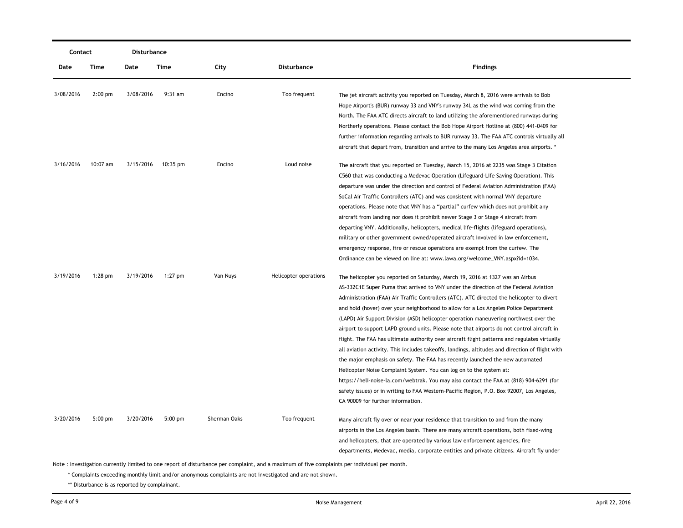| Contact   |            | Disturbance |           |              |                                                                                     |                                                                                                 |  |
|-----------|------------|-------------|-----------|--------------|-------------------------------------------------------------------------------------|-------------------------------------------------------------------------------------------------|--|
| Date      | Time       | Date        | Time      | City         | <b>Disturbance</b>                                                                  | <b>Findings</b>                                                                                 |  |
| 3/08/2016 | $2:00$ pm  | 3/08/2016   | $9:31$ am | Encino       | Too frequent                                                                        | The jet aircraft activity you reported on Tuesday, March 8, 2016 were arrivals to Bob           |  |
|           |            |             |           |              | Hope Airport's (BUR) runway 33 and VNY's runway 34L as the wind was coming from the |                                                                                                 |  |
|           |            |             |           |              |                                                                                     | North. The FAA ATC directs aircraft to land utilizing the aforementioned runways during         |  |
|           |            |             |           |              |                                                                                     | Northerly operations. Please contact the Bob Hope Airport Hotline at (800) 441-0409 for         |  |
|           |            |             |           |              |                                                                                     | further information regarding arrivals to BUR runway 33. The FAA ATC controls virtually all     |  |
|           |            |             |           |              |                                                                                     | aircraft that depart from, transition and arrive to the many Los Angeles area airports. *       |  |
| 3/16/2016 | $10:07$ am | 3/15/2016   | 10:35 pm  | Encino       | Loud noise                                                                          | The aircraft that you reported on Tuesday, March 15, 2016 at 2235 was Stage 3 Citation          |  |
|           |            |             |           |              |                                                                                     | C560 that was conducting a Medevac Operation (Lifeguard-Life Saving Operation). This            |  |
|           |            |             |           |              |                                                                                     | departure was under the direction and control of Federal Aviation Administration (FAA)          |  |
|           |            |             |           |              |                                                                                     | SoCal Air Traffic Controllers (ATC) and was consistent with normal VNY departure                |  |
|           |            |             |           |              |                                                                                     | operations. Please note that VNY has a "partial" curfew which does not prohibit any             |  |
|           |            |             |           |              |                                                                                     | aircraft from landing nor does it prohibit newer Stage 3 or Stage 4 aircraft from               |  |
|           |            |             |           |              |                                                                                     | departing VNY. Additionally, helicopters, medical life-flights (lifeguard operations),          |  |
|           |            |             |           |              |                                                                                     | military or other government owned/operated aircraft involved in law enforcement,               |  |
|           |            |             |           |              |                                                                                     | emergency response, fire or rescue operations are exempt from the curfew. The                   |  |
|           |            |             |           |              |                                                                                     | Ordinance can be viewed on line at: www.lawa.org/welcome_VNY.aspx?id=1034.                      |  |
| 3/19/2016 | $1:28$ pm  | 3/19/2016   | $1:27$ pm | Van Nuys     | Helicopter operations                                                               | The helicopter you reported on Saturday, March 19, 2016 at 1327 was an Airbus                   |  |
|           |            |             |           |              |                                                                                     | AS-332C1E Super Puma that arrived to VNY under the direction of the Federal Aviation            |  |
|           |            |             |           |              |                                                                                     | Administration (FAA) Air Traffic Controllers (ATC). ATC directed the helicopter to divert       |  |
|           |            |             |           |              |                                                                                     | and hold (hover) over your neighborhood to allow for a Los Angeles Police Department            |  |
|           |            |             |           |              |                                                                                     | (LAPD) Air Support Division (ASD) helicopter operation maneuvering northwest over the           |  |
|           |            |             |           |              |                                                                                     | airport to support LAPD ground units. Please note that airports do not control aircraft in      |  |
|           |            |             |           |              |                                                                                     | flight. The FAA has ultimate authority over aircraft flight patterns and regulates virtually    |  |
|           |            |             |           |              |                                                                                     | all aviation activity. This includes takeoffs, landings, altitudes and direction of flight with |  |
|           |            |             |           |              |                                                                                     | the major emphasis on safety. The FAA has recently launched the new automated                   |  |
|           |            |             |           |              |                                                                                     | Helicopter Noise Complaint System. You can log on to the system at:                             |  |
|           |            |             |           |              |                                                                                     | https://heli-noise-la.com/webtrak. You may also contact the FAA at (818) 904-6291 (for          |  |
|           |            |             |           |              |                                                                                     | safety issues) or in writing to FAA Western-Pacific Region, P.O. Box 92007, Los Angeles,        |  |
|           |            |             |           |              |                                                                                     | CA 90009 for further information.                                                               |  |
| 3/20/2016 | $5:00$ pm  | 3/20/2016   | $5:00$ pm | Sherman Oaks | Too frequent                                                                        | Many aircraft fly over or near your residence that transition to and from the many              |  |
|           |            |             |           |              |                                                                                     | airports in the Los Angeles basin. There are many aircraft operations, both fixed-wing          |  |
|           |            |             |           |              |                                                                                     | and helicopters, that are operated by various law enforcement agencies, fire                    |  |
|           |            |             |           |              |                                                                                     | departments, Medevac, media, corporate entities and private citizens. Aircraft fly under        |  |

\* Complaints exceeding monthly limit and/or anonymous complaints are not investigated and are not shown.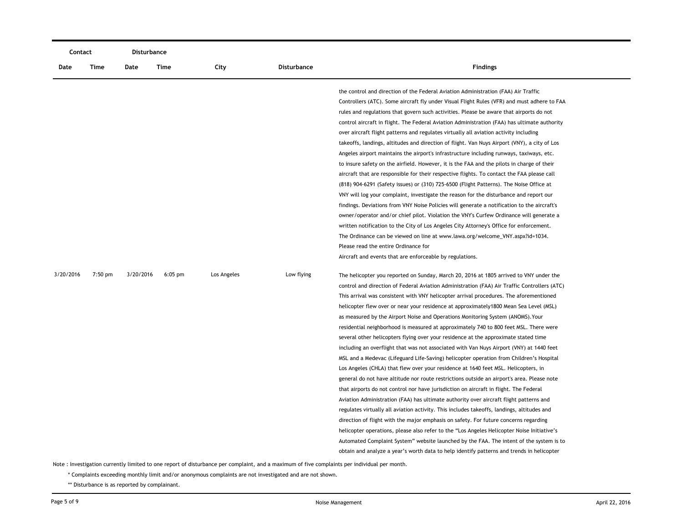| Contact   |           | Disturbance |           |             |                    |                                                                                                                                                                                                                                                                                                                                                                                                                                                                                                                                                                                                                                                                                                                                                                                                                                                                                                                                                                                                                                                                                                                                                                                                                                                                                                                                                                                                                                                                                                                                                                                                                                                                                                                                                                                                                                                                                                                                                                                                                                                                                                                                                                                                                                                                                                                                                                      |
|-----------|-----------|-------------|-----------|-------------|--------------------|----------------------------------------------------------------------------------------------------------------------------------------------------------------------------------------------------------------------------------------------------------------------------------------------------------------------------------------------------------------------------------------------------------------------------------------------------------------------------------------------------------------------------------------------------------------------------------------------------------------------------------------------------------------------------------------------------------------------------------------------------------------------------------------------------------------------------------------------------------------------------------------------------------------------------------------------------------------------------------------------------------------------------------------------------------------------------------------------------------------------------------------------------------------------------------------------------------------------------------------------------------------------------------------------------------------------------------------------------------------------------------------------------------------------------------------------------------------------------------------------------------------------------------------------------------------------------------------------------------------------------------------------------------------------------------------------------------------------------------------------------------------------------------------------------------------------------------------------------------------------------------------------------------------------------------------------------------------------------------------------------------------------------------------------------------------------------------------------------------------------------------------------------------------------------------------------------------------------------------------------------------------------------------------------------------------------------------------------------------------------|
| Date      | Time      | Date        | Time      | City        | <b>Disturbance</b> | <b>Findings</b>                                                                                                                                                                                                                                                                                                                                                                                                                                                                                                                                                                                                                                                                                                                                                                                                                                                                                                                                                                                                                                                                                                                                                                                                                                                                                                                                                                                                                                                                                                                                                                                                                                                                                                                                                                                                                                                                                                                                                                                                                                                                                                                                                                                                                                                                                                                                                      |
| 3/20/2016 | $7:50$ pm | 3/20/2016   | $6:05$ pm | Los Angeles | Low flying         | the control and direction of the Federal Aviation Administration (FAA) Air Traffic<br>Controllers (ATC). Some aircraft fly under Visual Flight Rules (VFR) and must adhere to FAA<br>rules and regulations that govern such activities. Please be aware that airports do not<br>control aircraft in flight. The Federal Aviation Administration (FAA) has ultimate authority<br>over aircraft flight patterns and regulates virtually all aviation activity including<br>takeoffs, landings, altitudes and direction of flight. Van Nuys Airport (VNY), a city of Los<br>Angeles airport maintains the airport's infrastructure including runways, taxiways, etc.<br>to insure safety on the airfield. However, it is the FAA and the pilots in charge of their<br>aircraft that are responsible for their respective flights. To contact the FAA please call<br>(818) 904-6291 (Safety issues) or (310) 725-6500 (Flight Patterns). The Noise Office at<br>VNY will log your complaint, investigate the reason for the disturbance and report our<br>findings. Deviations from VNY Noise Policies will generate a notification to the aircraft's<br>owner/operator and/or chief pilot. Violation the VNY's Curfew Ordinance will generate a<br>written notification to the City of Los Angeles City Attorney's Office for enforcement.<br>The Ordinance can be viewed on line at www.lawa.org/welcome_VNY.aspx?id=1034.<br>Please read the entire Ordinance for<br>Aircraft and events that are enforceable by regulations.<br>The helicopter you reported on Sunday, March 20, 2016 at 1805 arrived to VNY under the<br>control and direction of Federal Aviation Administration (FAA) Air Traffic Controllers (ATC)<br>This arrival was consistent with VNY helicopter arrival procedures. The aforementioned<br>helicopter flew over or near your residence at approximately 1800 Mean Sea Level (MSL)<br>as measured by the Airport Noise and Operations Monitoring System (ANOMS). Your<br>residential neighborhood is measured at approximately 740 to 800 feet MSL. There were<br>several other helicopters flying over your residence at the approximate stated time<br>including an overflight that was not associated with Van Nuys Airport (VNY) at 1440 feet<br>MSL and a Medevac (Lifeguard Life-Saving) helicopter operation from Children's Hospital |
|           |           |             |           |             |                    | Los Angeles (CHLA) that flew over your residence at 1640 feet MSL. Helicopters, in<br>general do not have altitude nor route restrictions outside an airport's area. Please note                                                                                                                                                                                                                                                                                                                                                                                                                                                                                                                                                                                                                                                                                                                                                                                                                                                                                                                                                                                                                                                                                                                                                                                                                                                                                                                                                                                                                                                                                                                                                                                                                                                                                                                                                                                                                                                                                                                                                                                                                                                                                                                                                                                     |
|           |           |             |           |             |                    | that airports do not control nor have jurisdiction on aircraft in flight. The Federal<br>Aviation Administration (FAA) has ultimate authority over aircraft flight patterns and                                                                                                                                                                                                                                                                                                                                                                                                                                                                                                                                                                                                                                                                                                                                                                                                                                                                                                                                                                                                                                                                                                                                                                                                                                                                                                                                                                                                                                                                                                                                                                                                                                                                                                                                                                                                                                                                                                                                                                                                                                                                                                                                                                                      |
|           |           |             |           |             |                    | regulates virtually all aviation activity. This includes takeoffs, landings, altitudes and                                                                                                                                                                                                                                                                                                                                                                                                                                                                                                                                                                                                                                                                                                                                                                                                                                                                                                                                                                                                                                                                                                                                                                                                                                                                                                                                                                                                                                                                                                                                                                                                                                                                                                                                                                                                                                                                                                                                                                                                                                                                                                                                                                                                                                                                           |
|           |           |             |           |             |                    | direction of flight with the major emphasis on safety. For future concerns regarding                                                                                                                                                                                                                                                                                                                                                                                                                                                                                                                                                                                                                                                                                                                                                                                                                                                                                                                                                                                                                                                                                                                                                                                                                                                                                                                                                                                                                                                                                                                                                                                                                                                                                                                                                                                                                                                                                                                                                                                                                                                                                                                                                                                                                                                                                 |
|           |           |             |           |             |                    | helicopter operations, please also refer to the "Los Angeles Helicopter Noise Initiative's                                                                                                                                                                                                                                                                                                                                                                                                                                                                                                                                                                                                                                                                                                                                                                                                                                                                                                                                                                                                                                                                                                                                                                                                                                                                                                                                                                                                                                                                                                                                                                                                                                                                                                                                                                                                                                                                                                                                                                                                                                                                                                                                                                                                                                                                           |
|           |           |             |           |             |                    | Automated Complaint System" website launched by the FAA. The intent of the system is to                                                                                                                                                                                                                                                                                                                                                                                                                                                                                                                                                                                                                                                                                                                                                                                                                                                                                                                                                                                                                                                                                                                                                                                                                                                                                                                                                                                                                                                                                                                                                                                                                                                                                                                                                                                                                                                                                                                                                                                                                                                                                                                                                                                                                                                                              |
|           |           |             |           |             |                    | obtain and analyze a year's worth data to help identify patterns and trends in helicopter                                                                                                                                                                                                                                                                                                                                                                                                                                                                                                                                                                                                                                                                                                                                                                                                                                                                                                                                                                                                                                                                                                                                                                                                                                                                                                                                                                                                                                                                                                                                                                                                                                                                                                                                                                                                                                                                                                                                                                                                                                                                                                                                                                                                                                                                            |
|           |           |             |           |             |                    |                                                                                                                                                                                                                                                                                                                                                                                                                                                                                                                                                                                                                                                                                                                                                                                                                                                                                                                                                                                                                                                                                                                                                                                                                                                                                                                                                                                                                                                                                                                                                                                                                                                                                                                                                                                                                                                                                                                                                                                                                                                                                                                                                                                                                                                                                                                                                                      |

\* Complaints exceeding monthly limit and/or anonymous complaints are not investigated and are not shown.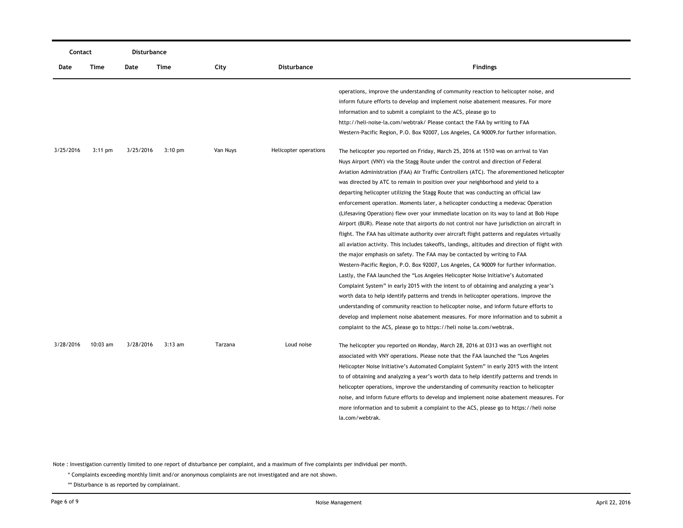| Contact   |                   | <b>Disturbance</b> |                   |          |                       |                                                                                                                                                                                                                                                                                                                                                                                                                                                                                                                                                                                                                                                                                                                                                                                                                                                                                                                                                                                                                                                                                                          |
|-----------|-------------------|--------------------|-------------------|----------|-----------------------|----------------------------------------------------------------------------------------------------------------------------------------------------------------------------------------------------------------------------------------------------------------------------------------------------------------------------------------------------------------------------------------------------------------------------------------------------------------------------------------------------------------------------------------------------------------------------------------------------------------------------------------------------------------------------------------------------------------------------------------------------------------------------------------------------------------------------------------------------------------------------------------------------------------------------------------------------------------------------------------------------------------------------------------------------------------------------------------------------------|
| Date      | Time              | Date               | Time              | City     | <b>Disturbance</b>    | <b>Findings</b>                                                                                                                                                                                                                                                                                                                                                                                                                                                                                                                                                                                                                                                                                                                                                                                                                                                                                                                                                                                                                                                                                          |
|           |                   |                    |                   |          |                       | operations, improve the understanding of community reaction to helicopter noise, and<br>inform future efforts to develop and implement noise abatement measures. For more<br>information and to submit a complaint to the ACS, please go to<br>http://heli-noise-la.com/webtrak/ Please contact the FAA by writing to FAA                                                                                                                                                                                                                                                                                                                                                                                                                                                                                                                                                                                                                                                                                                                                                                                |
| 3/25/2016 | $3:11 \text{ pm}$ | 3/25/2016          | $3:10 \text{ pm}$ | Van Nuys | Helicopter operations | Western-Pacific Region, P.O. Box 92007, Los Angeles, CA 90009.for further information.<br>The helicopter you reported on Friday, March 25, 2016 at 1510 was on arrival to Van<br>Nuys Airport (VNY) via the Stagg Route under the control and direction of Federal<br>Aviation Administration (FAA) Air Traffic Controllers (ATC). The aforementioned helicopter<br>was directed by ATC to remain in position over your neighborhood and yield to a<br>departing helicopter utilizing the Stagg Route that was conducting an official law<br>enforcement operation. Moments later, a helicopter conducting a medevac Operation<br>(Lifesaving Operation) flew over your immediate location on its way to land at Bob Hope<br>Airport (BUR). Please note that airports do not control nor have jurisdiction on aircraft in<br>flight. The FAA has ultimate authority over aircraft flight patterns and regulates virtually<br>all aviation activity. This includes takeoffs, landings, altitudes and direction of flight with<br>the major emphasis on safety. The FAA may be contacted by writing to FAA |
| 3/28/2016 | $10:03$ am        | 3/28/2016          | $3:13$ am         | Tarzana  | Loud noise            | Western-Pacific Region, P.O. Box 92007, Los Angeles, CA 90009 for further information.<br>Lastly, the FAA launched the "Los Angeles Helicopter Noise Initiative's Automated<br>Complaint System" in early 2015 with the intent to of obtaining and analyzing a year's<br>worth data to help identify patterns and trends in helicopter operations. improve the<br>understanding of community reaction to helicopter noise, and inform future efforts to<br>develop and implement noise abatement measures. For more information and to submit a<br>complaint to the ACS, please go to https://heli noise la.com/webtrak.                                                                                                                                                                                                                                                                                                                                                                                                                                                                                 |
|           |                   |                    |                   |          |                       | The helicopter you reported on Monday, March 28, 2016 at 0313 was an overflight not<br>associated with VNY operations. Please note that the FAA launched the "Los Angeles"<br>Helicopter Noise Initiative's Automated Complaint System" in early 2015 with the intent<br>to of obtaining and analyzing a year's worth data to help identify patterns and trends in<br>helicopter operations, improve the understanding of community reaction to helicopter<br>noise, and inform future efforts to develop and implement noise abatement measures. For<br>more information and to submit a complaint to the ACS, please go to https://heli noise<br>la.com/webtrak.                                                                                                                                                                                                                                                                                                                                                                                                                                       |

\* Complaints exceeding monthly limit and/or anonymous complaints are not investigated and are not shown.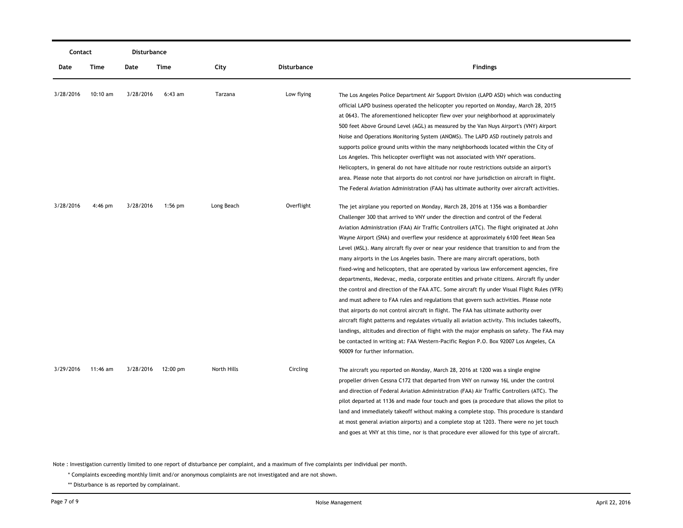| Contact   |            | Disturbance |                    |             |                    |                                                                                                 |
|-----------|------------|-------------|--------------------|-------------|--------------------|-------------------------------------------------------------------------------------------------|
| Date      | Time       | Date        | Time               | City        | <b>Disturbance</b> | <b>Findings</b>                                                                                 |
| 3/28/2016 | $10:10$ am | 3/28/2016   | $6:43$ am          | Tarzana     | Low flying         | The Los Angeles Police Department Air Support Division (LAPD ASD) which was conducting          |
|           |            |             |                    |             |                    | official LAPD business operated the helicopter you reported on Monday, March 28, 2015           |
|           |            |             |                    |             |                    | at 0643. The aforementioned helicopter flew over your neighborhood at approximately             |
|           |            |             |                    |             |                    | 500 feet Above Ground Level (AGL) as measured by the Van Nuys Airport's (VNY) Airport           |
|           |            |             |                    |             |                    | Noise and Operations Monitoring System (ANOMS). The LAPD ASD routinely patrols and              |
|           |            |             |                    |             |                    | supports police ground units within the many neighborhoods located within the City of           |
|           |            |             |                    |             |                    | Los Angeles. This helicopter overflight was not associated with VNY operations.                 |
|           |            |             |                    |             |                    | Helicopters, in general do not have altitude nor route restrictions outside an airport's        |
|           |            |             |                    |             |                    | area. Please note that airports do not control nor have jurisdiction on aircraft in flight.     |
|           |            |             |                    |             |                    | The Federal Aviation Administration (FAA) has ultimate authority over aircraft activities.      |
| 3/28/2016 | $4:46$ pm  | 3/28/2016   | $1:56$ pm          | Long Beach  | Overflight         | The jet airplane you reported on Monday, March 28, 2016 at 1356 was a Bombardier                |
|           |            |             |                    |             |                    | Challenger 300 that arrived to VNY under the direction and control of the Federal               |
|           |            |             |                    |             |                    | Aviation Administration (FAA) Air Traffic Controllers (ATC). The flight originated at John      |
|           |            |             |                    |             |                    | Wayne Airport (SNA) and overflew your residence at approximately 6100 feet Mean Sea             |
|           |            |             |                    |             |                    | Level (MSL). Many aircraft fly over or near your residence that transition to and from the      |
|           |            |             |                    |             |                    | many airports in the Los Angeles basin. There are many aircraft operations, both                |
|           |            |             |                    |             |                    | fixed-wing and helicopters, that are operated by various law enforcement agencies, fire         |
|           |            |             |                    |             |                    | departments, Medevac, media, corporate entities and private citizens. Aircraft fly under        |
|           |            |             |                    |             |                    | the control and direction of the FAA ATC. Some aircraft fly under Visual Flight Rules (VFR)     |
|           |            |             |                    |             |                    | and must adhere to FAA rules and regulations that govern such activities. Please note           |
|           |            |             |                    |             |                    | that airports do not control aircraft in flight. The FAA has ultimate authority over            |
|           |            |             |                    |             |                    | aircraft flight patterns and regulates virtually all aviation activity. This includes takeoffs, |
|           |            |             |                    |             |                    | landings, altitudes and direction of flight with the major emphasis on safety. The FAA may      |
|           |            |             |                    |             |                    | be contacted in writing at: FAA Western-Pacific Region P.O. Box 92007 Los Angeles, CA           |
|           |            |             |                    |             |                    | 90009 for further information.                                                                  |
| 3/29/2016 | 11:46 am   | 3/28/2016   | $12:00 \text{ pm}$ | North Hills | Circling           | The aircraft you reported on Monday, March 28, 2016 at 1200 was a single engine                 |
|           |            |             |                    |             |                    | propeller driven Cessna C172 that departed from VNY on runway 16L under the control             |
|           |            |             |                    |             |                    | and direction of Federal Aviation Administration (FAA) Air Traffic Controllers (ATC). The       |
|           |            |             |                    |             |                    | pilot departed at 1136 and made four touch and goes (a procedure that allows the pilot to       |
|           |            |             |                    |             |                    | land and immediately takeoff without making a complete stop. This procedure is standard         |
|           |            |             |                    |             |                    | at most general aviation airports) and a complete stop at 1203. There were no jet touch         |
|           |            |             |                    |             |                    | and goes at VNY at this time, nor is that procedure ever allowed for this type of aircraft.     |

\* Complaints exceeding monthly limit and/or anonymous complaints are not investigated and are not shown.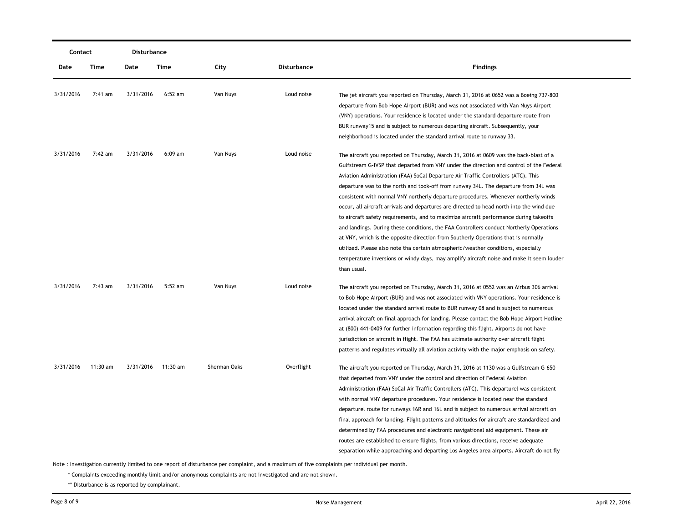| Contact   |          | Disturbance |                    |              |             |                                                                                                                                                                                                                                                                                                                                                                                                                                                                                                                                                                                                                                                                                                                                                                                                                                                                                                                                                                                                                           |
|-----------|----------|-------------|--------------------|--------------|-------------|---------------------------------------------------------------------------------------------------------------------------------------------------------------------------------------------------------------------------------------------------------------------------------------------------------------------------------------------------------------------------------------------------------------------------------------------------------------------------------------------------------------------------------------------------------------------------------------------------------------------------------------------------------------------------------------------------------------------------------------------------------------------------------------------------------------------------------------------------------------------------------------------------------------------------------------------------------------------------------------------------------------------------|
| Date      | Time     | Date        | Time               | City         | Disturbance | <b>Findings</b>                                                                                                                                                                                                                                                                                                                                                                                                                                                                                                                                                                                                                                                                                                                                                                                                                                                                                                                                                                                                           |
| 3/31/2016 | 7:41 am  | 3/31/2016   | $6:52$ am          | Van Nuys     | Loud noise  | The jet aircraft you reported on Thursday, March 31, 2016 at 0652 was a Boeing 737-800<br>departure from Bob Hope Airport (BUR) and was not associated with Van Nuys Airport<br>(VNY) operations. Your residence is located under the standard departure route from<br>BUR runway15 and is subject to numerous departing aircraft. Subsequently, your<br>neighborhood is located under the standard arrival route to runway 33.                                                                                                                                                                                                                                                                                                                                                                                                                                                                                                                                                                                           |
| 3/31/2016 | 7:42 am  | 3/31/2016   | $6:09$ am          | Van Nuys     | Loud noise  | The aircraft you reported on Thursday, March 31, 2016 at 0609 was the back-blast of a<br>Gulfstream G-IVSP that departed from VNY under the direction and control of the Federal<br>Aviation Administration (FAA) SoCal Departure Air Traffic Controllers (ATC). This<br>departure was to the north and took-off from runway 34L. The departure from 34L was<br>consistent with normal VNY northerly departure procedures. Whenever northerly winds<br>occur, all aircraft arrivals and departures are directed to head north into the wind due<br>to aircraft safety requirements, and to maximize aircraft performance during takeoffs<br>and landings. During these conditions, the FAA Controllers conduct Northerly Operations<br>at VNY, which is the opposite direction from Southerly Operations that is normally<br>utilized. Please also note tha certain atmospheric/weather conditions, especially<br>temperature inversions or windy days, may amplify aircraft noise and make it seem louder<br>than usual. |
| 3/31/2016 | 7:43 am  | 3/31/2016   | $5:52$ am          | Van Nuys     | Loud noise  | The aircraft you reported on Thursday, March 31, 2016 at 0552 was an Airbus 306 arrival<br>to Bob Hope Airport (BUR) and was not associated with VNY operations. Your residence is<br>located under the standard arrival route to BUR runway 08 and is subject to numerous<br>arrival aircraft on final approach for landing. Please contact the Bob Hope Airport Hotline<br>at (800) 441-0409 for further information regarding this flight. Airports do not have<br>jurisdiction on aircraft in flight. The FAA has ultimate authority over aircraft flight<br>patterns and regulates virtually all aviation activity with the major emphasis on safety.                                                                                                                                                                                                                                                                                                                                                                |
| 3/31/2016 | 11:30 am |             | 3/31/2016 11:30 am | Sherman Oaks | Overflight  | The aircraft you reported on Thursday, March 31, 2016 at 1130 was a Gulfstream G-650<br>that departed from VNY under the control and direction of Federal Aviation<br>Administration (FAA) SoCal Air Traffic Controllers (ATC). This departurel was consistent<br>with normal VNY departure procedures. Your residence is located near the standard<br>departurel route for runways 16R and 16L and is subject to numerous arrival aircraft on<br>final approach for landing. Flight patterns and altitudes for aircraft are standardized and<br>determined by FAA procedures and electronic navigational aid equipment. These air<br>routes are established to ensure flights, from various directions, receive adequate<br>separation while approaching and departing Los Angeles area airports. Aircraft do not fly                                                                                                                                                                                                    |

\* Complaints exceeding monthly limit and/or anonymous complaints are not investigated and are not shown.